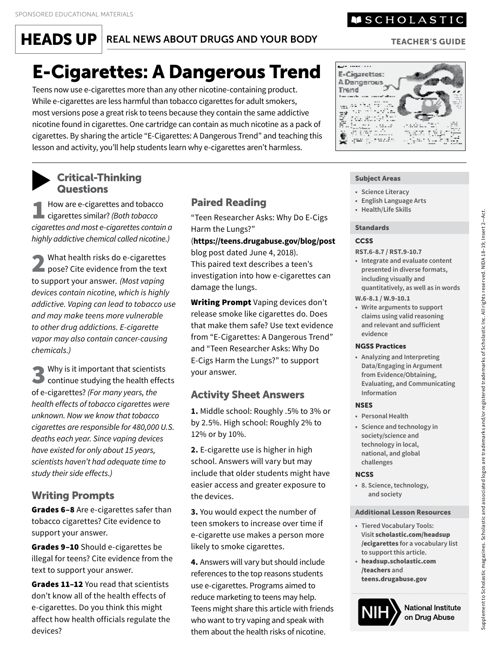$HEADS UP$  REAL NEWS ABOUT DRUGS AND YOUR BODY

## E-Cigarettes: A Dangerous Trend

Teens now use e-cigarettes more than any other nicotine-containing product. While e-cigarettes are less harmful than tobacco cigarettes for adult smokers, most versions pose a great risk to teens because they contain the same addictive nicotine found in cigarettes. One cartridge can contain as much nicotine as a pack of cigarettes. By sharing the article "E-Cigarettes: A Dangerous Trend" and teaching this lesson and activity, you'll help students learn why e-cigarettes aren't harmless.

#### ▼Critical-Thinking **Subject Areas Questions** • Science Literacy

How are e-cigarettes and tobacco cigarettes similar? *(Both tobacco cigarettes and most e-cigarettes contain a highly addictive chemical called nicotine.)* 

2 What health risks do e-cigarettes<br>pose? Cite evidence from the text<br>the pose of the evidence of Mathematics to support your answer. *(Most vaping devices contain nicotine, which is highly addictive. Vaping can lead to tobacco use and may make teens more vulnerable to other drug addictions. E-cigarette vapor may also contain cancer-causing chemicals.)* 

3 Why is it important that scientists continue studying the health effects of e-cigarettes? *(For many years, the health effects of tobacco cigarettes were unknown. Now we know that tobacco cigarettes are responsible for 480,000 U.S. deaths each year. Since vaping devices have existed for only about 15 years, scientists haven't had adequate time to study their side effects.)* 

## Writing Prompts

Grades 6-8 Are e-cigarettes safer than tobacco cigarettes? Cite evidence to support your answer.

Grades 9-10 Should e-cigarettes be illegal for teens? Cite evidence from the text to support your answer.

Grades 11-12 You read that scientists don't know all of the health effects of e-cigarettes. Do you think this might affect how health officials regulate the devices?

### **Paired Reading**

"Teen Researcher Asks: Why Do E-Cigs Harm the Lungs?"

(**<https://teens.drugabuse.gov/blog/post>** blog post dated June 4, 2018). This paired text describes a teen's investigation into how e-cigarettes can damage the lungs.

Writing Prompt Vaping devices don't release smoke like cigarettes do. Does that make them safe? Use text evidence from "E-Cigarettes: A Dangerous Trend" and "Teen Researcher Asks: Why Do E-Cigs Harm the Lungs?" to support your answer.

## Activity Sheet Answers

**1.** Middle school: Roughly .5% to 3% or by 2.5%. High school: Roughly 2% to 12% or by 10%.

**2.** E-cigarette use is higher in high school. Answers will vary but may include that older students might have easier access and greater exposure to the devices.

**3.** You would expect the number of teen smokers to increase over time if e-cigarette use makes a person more likely to smoke cigarettes.

**4.** Answers will vary but should include references to the top reasons students use e-cigarettes. Programs aimed to reduce marketing to teens may help. Teens might share this article with friends who want to try vaping and speak with them about the health risks of nicotine.

- 
- **•** English Language Arts
- **Health/Life Skills**

#### Standards

#### **CCSS**

**RST.6-8.7 / RST.9-10.7** 

- **Integrate and evaluate content quantitatively, as well as in words presented in diverse formats, including visually and**
- **W.6-8.1 / W.9-10.1**
- **Write arguments to support claims using valid reasoning and relevant and sufficient evidence**

#### NGSS Practices

 **• Analyzing and Interpreting Data/Engaging in Argument from Evidence/Obtaining, Evaluating, and Communicating Information** 

#### **NSES**

- **Personal Health**
- **Science and technology in society/science and technology in local, national, and global challenges**

#### **NCSS**

 **• 8. Science, technology, and society** 

#### Additional Lesson Resources

- **Tiered Vocabulary Tools:**  /ecigarettes **for a vocabulary list Visit** [scholastic.com/headsup](https://scholastic.com/headsup)  **to support this article.**
- [headsup.scholastic.com](https://headsup.scholastic.com/teachers)  /teachers **and**  [teens.drugabuse.gov](https://teens.drugabuse.gov)





Supplement to Scholastic magazines. Scholastic and associated logos are trademarks and/or registered trademarks of Scholastic Inc. All rights reserved. NIDA 18–19; Insert 2—Act.

Supplement to Scholastic magazines. Scholastic and associated logos are trademarks and/or registered trademarks of Scholastic Inc. All rights reserved. NIDA 18-19; Insert 2-Act.

## **MSCHOLASTIC**

#### TEACHER'S GUIDE